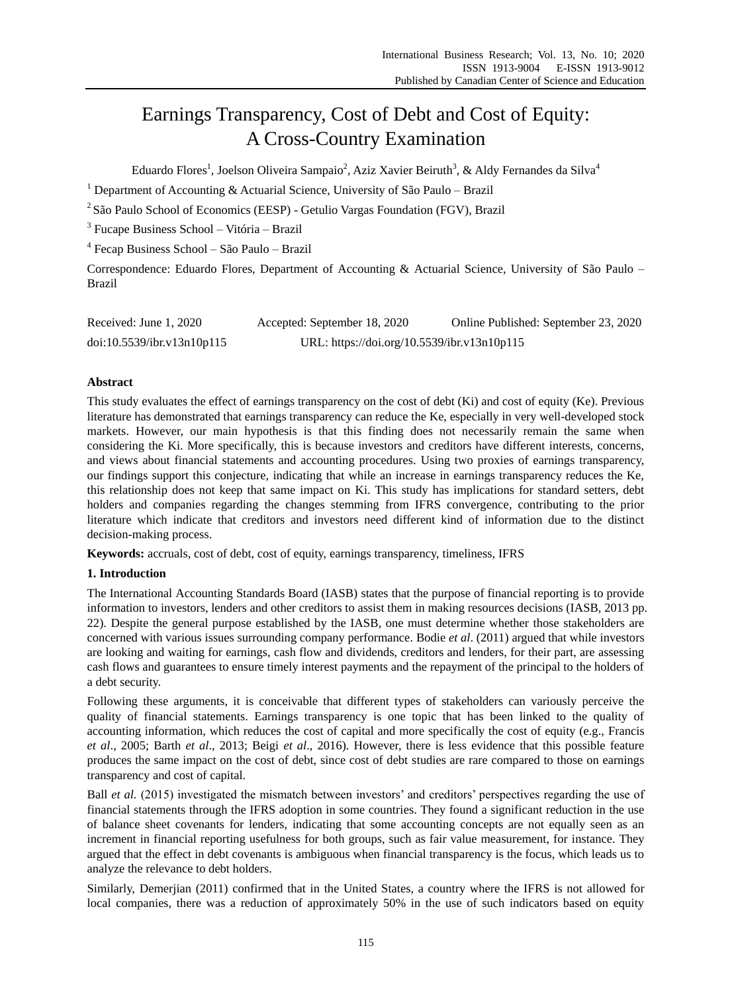# Earnings Transparency, Cost of Debt and Cost of Equity: A Cross-Country Examination

Eduardo Flores<sup>1</sup>, Joelson Oliveira Sampaio<sup>2</sup>, Aziz Xavier Beiruth<sup>3</sup>, & Aldy Fernandes da Silva<sup>4</sup>

<sup>1</sup> Department of Accounting & Actuarial Science, University of S  $\tilde{a}$  Paulo – Brazil

<sup>2</sup>S ão Paulo School of Economics (EESP) - Getulio Vargas Foundation (FGV), Brazil

<sup>3</sup> Fucape Business School – Vitória – Brazil

4 Fecap Business School – São Paulo – Brazil

Correspondence: Eduardo Flores, Department of Accounting & Actuarial Science, University of São Paulo – Brazil

| Received: June 1, 2020     | Accepted: September 18, 2020                | Online Published: September 23, 2020 |
|----------------------------|---------------------------------------------|--------------------------------------|
| doi:10.5539/ibr.v13n10p115 | URL: https://doi.org/10.5539/ibr.v13n10p115 |                                      |

## **Abstract**

This study evaluates the effect of earnings transparency on the cost of debt (Ki) and cost of equity (Ke). Previous literature has demonstrated that earnings transparency can reduce the Ke, especially in very well-developed stock markets. However, our main hypothesis is that this finding does not necessarily remain the same when considering the Ki. More specifically, this is because investors and creditors have different interests, concerns, and views about financial statements and accounting procedures. Using two proxies of earnings transparency, our findings support this conjecture, indicating that while an increase in earnings transparency reduces the Ke, this relationship does not keep that same impact on Ki. This study has implications for standard setters, debt holders and companies regarding the changes stemming from IFRS convergence, contributing to the prior literature which indicate that creditors and investors need different kind of information due to the distinct decision-making process.

**Keywords:** accruals, cost of debt, cost of equity, earnings transparency, timeliness, IFRS

## **1. Introduction**

The International Accounting Standards Board (IASB) states that the purpose of financial reporting is to provide information to investors, lenders and other creditors to assist them in making resources decisions (IASB, 2013 pp. 22). Despite the general purpose established by the IASB, one must determine whether those stakeholders are concerned with various issues surrounding company performance. Bodie *et al*. (2011) argued that while investors are looking and waiting for earnings, cash flow and dividends, creditors and lenders, for their part, are assessing cash flows and guarantees to ensure timely interest payments and the repayment of the principal to the holders of a debt security.

Following these arguments, it is conceivable that different types of stakeholders can variously perceive the quality of financial statements. Earnings transparency is one topic that has been linked to the quality of accounting information, which reduces the cost of capital and more specifically the cost of equity (e.g., Francis *et al*., 2005; Barth *et al*., 2013; Beigi *et al*., 2016). However, there is less evidence that this possible feature produces the same impact on the cost of debt, since cost of debt studies are rare compared to those on earnings transparency and cost of capital.

Ball *et al.* (2015) investigated the mismatch between investors' and creditors' perspectives regarding the use of financial statements through the IFRS adoption in some countries. They found a significant reduction in the use of balance sheet covenants for lenders, indicating that some accounting concepts are not equally seen as an increment in financial reporting usefulness for both groups, such as fair value measurement, for instance. They argued that the effect in debt covenants is ambiguous when financial transparency is the focus, which leads us to analyze the relevance to debt holders.

Similarly, Demerjian (2011) confirmed that in the United States, a country where the IFRS is not allowed for local companies, there was a reduction of approximately 50% in the use of such indicators based on equity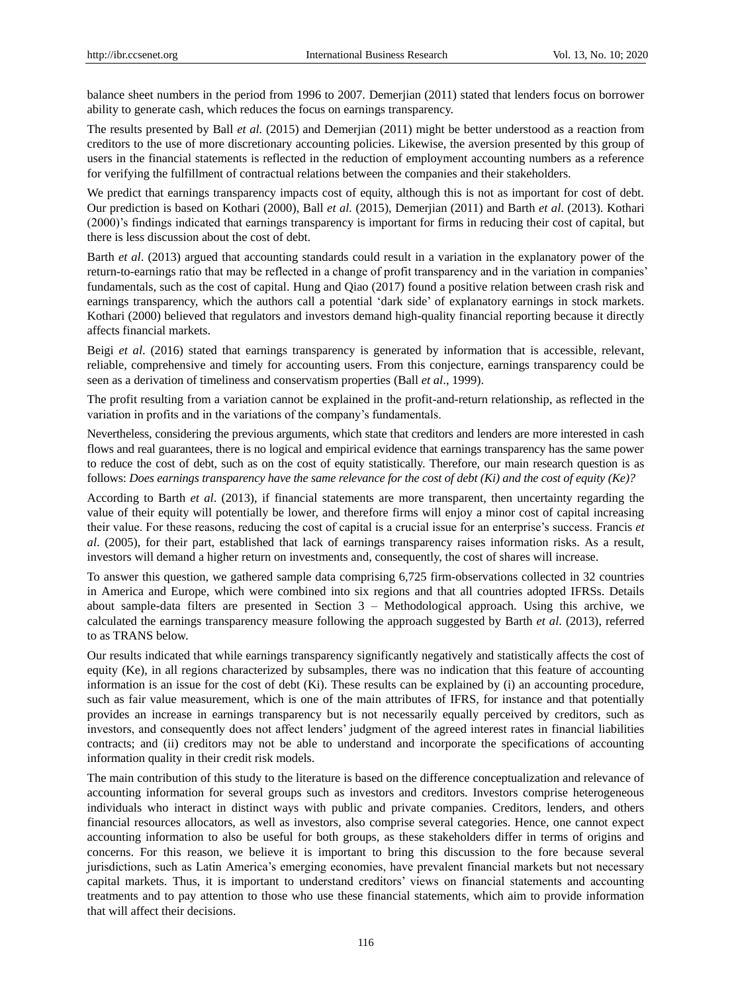balance sheet numbers in the period from 1996 to 2007. Demerjian (2011) stated that lenders focus on borrower ability to generate cash, which reduces the focus on earnings transparency.

The results presented by Ball *et al.* (2015) and Demerjian (2011) might be better understood as a reaction from creditors to the use of more discretionary accounting policies. Likewise, the aversion presented by this group of users in the financial statements is reflected in the reduction of employment accounting numbers as a reference for verifying the fulfillment of contractual relations between the companies and their stakeholders.

We predict that earnings transparency impacts cost of equity, although this is not as important for cost of debt. Our prediction is based on Kothari (2000), Ball *et al.* (2015), Demerjian (2011) and Barth *et al*. (2013). Kothari (2000)"s findings indicated that earnings transparency is important for firms in reducing their cost of capital, but there is less discussion about the cost of debt.

Barth *et al*. (2013) argued that accounting standards could result in a variation in the explanatory power of the return-to-earnings ratio that may be reflected in a change of profit transparency and in the variation in companies" fundamentals, such as the cost of capital. Hung and Qiao (2017) found a positive relation between crash risk and earnings transparency, which the authors call a potential "dark side" of explanatory earnings in stock markets. Kothari (2000) believed that regulators and investors demand high-quality financial reporting because it directly affects financial markets.

Beigi *et al.* (2016) stated that earnings transparency is generated by information that is accessible, relevant, reliable, comprehensive and timely for accounting users. From this conjecture, earnings transparency could be seen as a derivation of timeliness and conservatism properties (Ball *et al*., 1999).

The profit resulting from a variation cannot be explained in the profit-and-return relationship, as reflected in the variation in profits and in the variations of the company"s fundamentals.

Nevertheless, considering the previous arguments, which state that creditors and lenders are more interested in cash flows and real guarantees, there is no logical and empirical evidence that earnings transparency has the same power to reduce the cost of debt, such as on the cost of equity statistically. Therefore, our main research question is as follows: *Does earnings transparency have the same relevance for the cost of debt (Ki) and the cost of equity (Ke)?*

According to Barth *et al*. (2013), if financial statements are more transparent, then uncertainty regarding the value of their equity will potentially be lower, and therefore firms will enjoy a minor cost of capital increasing their value. For these reasons, reducing the cost of capital is a crucial issue for an enterprise"s success. Francis *et al*. (2005), for their part, established that lack of earnings transparency raises information risks. As a result, investors will demand a higher return on investments and, consequently, the cost of shares will increase.

To answer this question, we gathered sample data comprising 6,725 firm-observations collected in 32 countries in America and Europe, which were combined into six regions and that all countries adopted IFRSs. Details about sample-data filters are presented in Section 3 – Methodological approach. Using this archive, we calculated the earnings transparency measure following the approach suggested by Barth *et al*. (2013), referred to as TRANS below.

Our results indicated that while earnings transparency significantly negatively and statistically affects the cost of equity (Ke), in all regions characterized by subsamples, there was no indication that this feature of accounting information is an issue for the cost of debt (Ki). These results can be explained by (i) an accounting procedure, such as fair value measurement, which is one of the main attributes of IFRS, for instance and that potentially provides an increase in earnings transparency but is not necessarily equally perceived by creditors, such as investors, and consequently does not affect lenders" judgment of the agreed interest rates in financial liabilities contracts; and (ii) creditors may not be able to understand and incorporate the specifications of accounting information quality in their credit risk models.

The main contribution of this study to the literature is based on the difference conceptualization and relevance of accounting information for several groups such as investors and creditors. Investors comprise heterogeneous individuals who interact in distinct ways with public and private companies. Creditors, lenders, and others financial resources allocators, as well as investors, also comprise several categories. Hence, one cannot expect accounting information to also be useful for both groups, as these stakeholders differ in terms of origins and concerns. For this reason, we believe it is important to bring this discussion to the fore because several jurisdictions, such as Latin America"s emerging economies, have prevalent financial markets but not necessary capital markets. Thus, it is important to understand creditors" views on financial statements and accounting treatments and to pay attention to those who use these financial statements, which aim to provide information that will affect their decisions.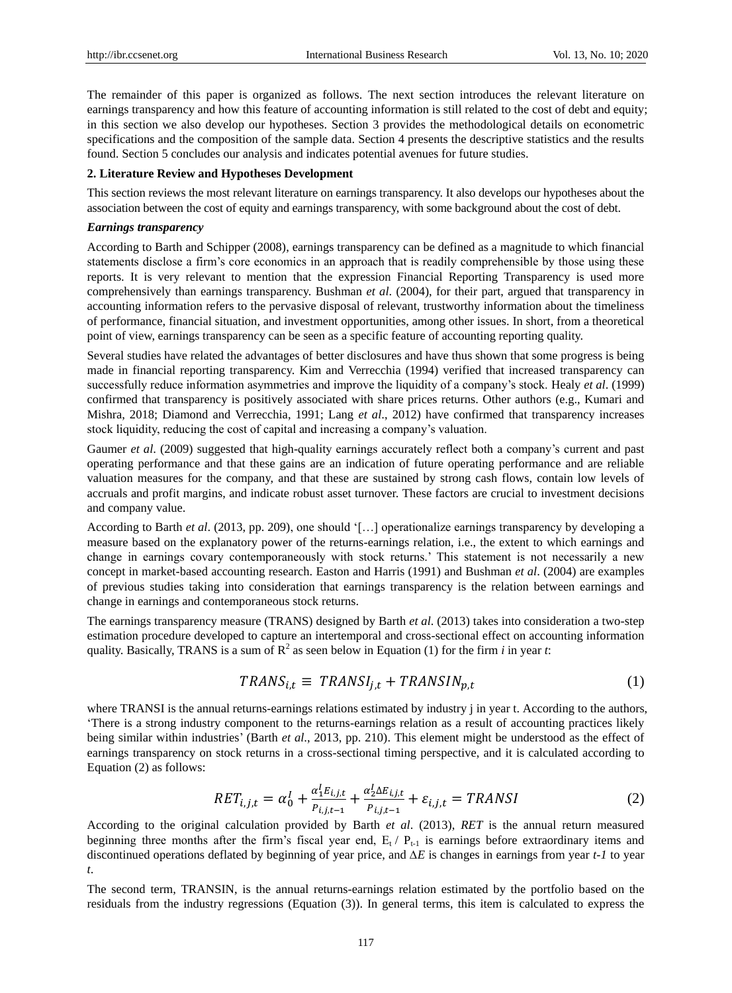The remainder of this paper is organized as follows. The next section introduces the relevant literature on earnings transparency and how this feature of accounting information is still related to the cost of debt and equity; in this section we also develop our hypotheses. Section 3 provides the methodological details on econometric specifications and the composition of the sample data. Section 4 presents the descriptive statistics and the results found. Section 5 concludes our analysis and indicates potential avenues for future studies.

## **2. Literature Review and Hypotheses Development**

This section reviews the most relevant literature on earnings transparency. It also develops our hypotheses about the association between the cost of equity and earnings transparency, with some background about the cost of debt.

## *Earnings transparency*

According to Barth and Schipper (2008), earnings transparency can be defined as a magnitude to which financial statements disclose a firm"s core economics in an approach that is readily comprehensible by those using these reports. It is very relevant to mention that the expression Financial Reporting Transparency is used more comprehensively than earnings transparency. Bushman *et al*. (2004), for their part, argued that transparency in accounting information refers to the pervasive disposal of relevant, trustworthy information about the timeliness of performance, financial situation, and investment opportunities, among other issues. In short, from a theoretical point of view, earnings transparency can be seen as a specific feature of accounting reporting quality.

Several studies have related the advantages of better disclosures and have thus shown that some progress is being made in financial reporting transparency. Kim and Verrecchia (1994) verified that increased transparency can successfully reduce information asymmetries and improve the liquidity of a company"s stock. Healy *et al*. (1999) confirmed that transparency is positively associated with share prices returns. Other authors (e.g., Kumari and Mishra, 2018; Diamond and Verrecchia, 1991; Lang *et al*., 2012) have confirmed that transparency increases stock liquidity, reducing the cost of capital and increasing a company"s valuation.

Gaumer *et al.* (2009) suggested that high-quality earnings accurately reflect both a company's current and past operating performance and that these gains are an indication of future operating performance and are reliable valuation measures for the company, and that these are sustained by strong cash flows, contain low levels of accruals and profit margins, and indicate robust asset turnover. These factors are crucial to investment decisions and company value.

According to Barth *et al*. (2013, pp. 209), one should "[…] operationalize earnings transparency by developing a measure based on the explanatory power of the returns-earnings relation, i.e., the extent to which earnings and change in earnings covary contemporaneously with stock returns." This statement is not necessarily a new concept in market-based accounting research. Easton and Harris (1991) and Bushman *et al*. (2004) are examples of previous studies taking into consideration that earnings transparency is the relation between earnings and change in earnings and contemporaneous stock returns.

The earnings transparency measure (TRANS) designed by Barth *et al*. (2013) takes into consideration a two-step estimation procedure developed to capture an intertemporal and cross-sectional effect on accounting information quality. Basically, TRANS is a sum of  $R^2$  as seen below in Equation (1) for the firm *i* in year *t*:

$$
TRANS_{i,t} \equiv TRANSI_{j,t} + TRANSIN_{p,t}
$$
\n<sup>(1)</sup>

where TRANSI is the annual returns-earnings relations estimated by industry *j* in year t. According to the authors, "There is a strong industry component to the returns-earnings relation as a result of accounting practices likely being similar within industries" (Barth *et al*., 2013, pp. 210). This element might be understood as the effect of earnings transparency on stock returns in a cross-sectional timing perspective, and it is calculated according to Equation (2) as follows:

$$
RET_{i,j,t} = \alpha_0^I + \frac{\alpha_1^I E_{i,j,t}}{P_{i,j,t-1}} + \frac{\alpha_2^I \Delta E_{i,j,t}}{P_{i,j,t-1}} + \varepsilon_{i,j,t} = TRANSI
$$
 (2)

According to the original calculation provided by Barth *et al*. (2013), *RET* is the annual return measured beginning three months after the firm's fiscal year end,  $E_t / P_{t-1}$  is earnings before extraordinary items and discontinued operations deflated by beginning of year price, and *∆E* is changes in earnings from year *t-1* to year *t*.

The second term, TRANSIN, is the annual returns-earnings relation estimated by the portfolio based on the residuals from the industry regressions (Equation (3)). In general terms, this item is calculated to express the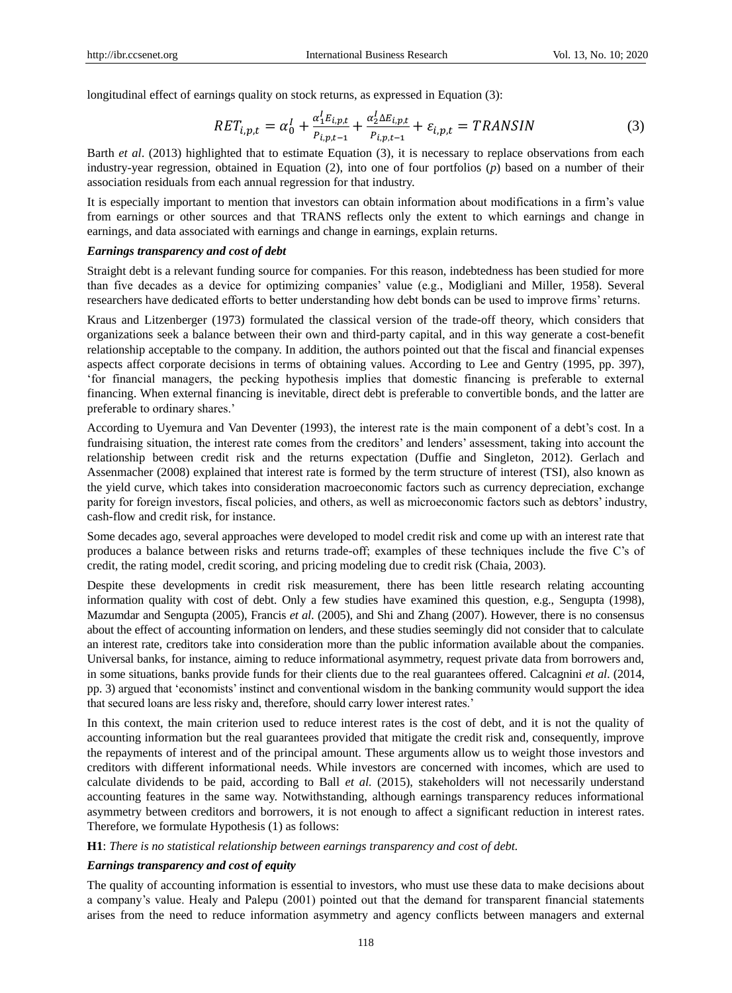longitudinal effect of earnings quality on stock returns, as expressed in Equation (3):

$$
RET_{i,p,t} = \alpha_0^I + \frac{\alpha_1^I E_{i,p,t}}{P_{i,p,t-1}} + \frac{\alpha_2^I \Delta E_{i,p,t}}{P_{i,p,t-1}} + \varepsilon_{i,p,t} = TRANSIN
$$
\n(3)

Barth *et al*. (2013) highlighted that to estimate Equation (3), it is necessary to replace observations from each industry-year regression, obtained in Equation (2), into one of four portfolios (*p*) based on a number of their association residuals from each annual regression for that industry.

It is especially important to mention that investors can obtain information about modifications in a firm"s value from earnings or other sources and that TRANS reflects only the extent to which earnings and change in earnings, and data associated with earnings and change in earnings, explain returns.

## *Earnings transparency and cost of debt*

Straight debt is a relevant funding source for companies. For this reason, indebtedness has been studied for more than five decades as a device for optimizing companies" value (e.g., Modigliani and Miller, 1958). Several researchers have dedicated efforts to better understanding how debt bonds can be used to improve firms" returns.

Kraus and Litzenberger (1973) formulated the classical version of the trade-off theory, which considers that organizations seek a balance between their own and third-party capital, and in this way generate a cost-benefit relationship acceptable to the company. In addition, the authors pointed out that the fiscal and financial expenses aspects affect corporate decisions in terms of obtaining values. According to Lee and Gentry (1995, pp. 397), "for financial managers, the pecking hypothesis implies that domestic financing is preferable to external financing. When external financing is inevitable, direct debt is preferable to convertible bonds, and the latter are preferable to ordinary shares.'

According to Uyemura and Van Deventer (1993), the interest rate is the main component of a debt's cost. In a fundraising situation, the interest rate comes from the creditors' and lenders' assessment, taking into account the relationship between credit risk and the returns expectation (Duffie and Singleton, 2012). Gerlach and Assenmacher (2008) explained that interest rate is formed by the term structure of interest (TSI), also known as the yield curve, which takes into consideration macroeconomic factors such as currency depreciation, exchange parity for foreign investors, fiscal policies, and others, as well as microeconomic factors such as debtors" industry, cash-flow and credit risk, for instance.

Some decades ago, several approaches were developed to model credit risk and come up with an interest rate that produces a balance between risks and returns trade-off; examples of these techniques include the five C"s of credit, the rating model, credit scoring, and pricing modeling due to credit risk (Chaia, 2003).

Despite these developments in credit risk measurement, there has been little research relating accounting information quality with cost of debt. Only a few studies have examined this question, e.g., Sengupta (1998), Mazumdar and Sengupta (2005), Francis *et al*. (2005), and Shi and Zhang (2007). However, there is no consensus about the effect of accounting information on lenders, and these studies seemingly did not consider that to calculate an interest rate, creditors take into consideration more than the public information available about the companies. Universal banks, for instance, aiming to reduce informational asymmetry, request private data from borrowers and, in some situations, banks provide funds for their clients due to the real guarantees offered. Calcagnini *et al*. (2014, pp. 3) argued that "economists" instinct and conventional wisdom in the banking community would support the idea that secured loans are less risky and, therefore, should carry lower interest rates."

In this context, the main criterion used to reduce interest rates is the cost of debt, and it is not the quality of accounting information but the real guarantees provided that mitigate the credit risk and, consequently, improve the repayments of interest and of the principal amount. These arguments allow us to weight those investors and creditors with different informational needs. While investors are concerned with incomes, which are used to calculate dividends to be paid, according to Ball *et al.* (2015), stakeholders will not necessarily understand accounting features in the same way. Notwithstanding, although earnings transparency reduces informational asymmetry between creditors and borrowers, it is not enough to affect a significant reduction in interest rates. Therefore, we formulate Hypothesis (1) as follows:

**H1**: *There is no statistical relationship between earnings transparency and cost of debt.*

#### *Earnings transparency and cost of equity*

The quality of accounting information is essential to investors, who must use these data to make decisions about a company's value. Healy and Palepu (2001) pointed out that the demand for transparent financial statements arises from the need to reduce information asymmetry and agency conflicts between managers and external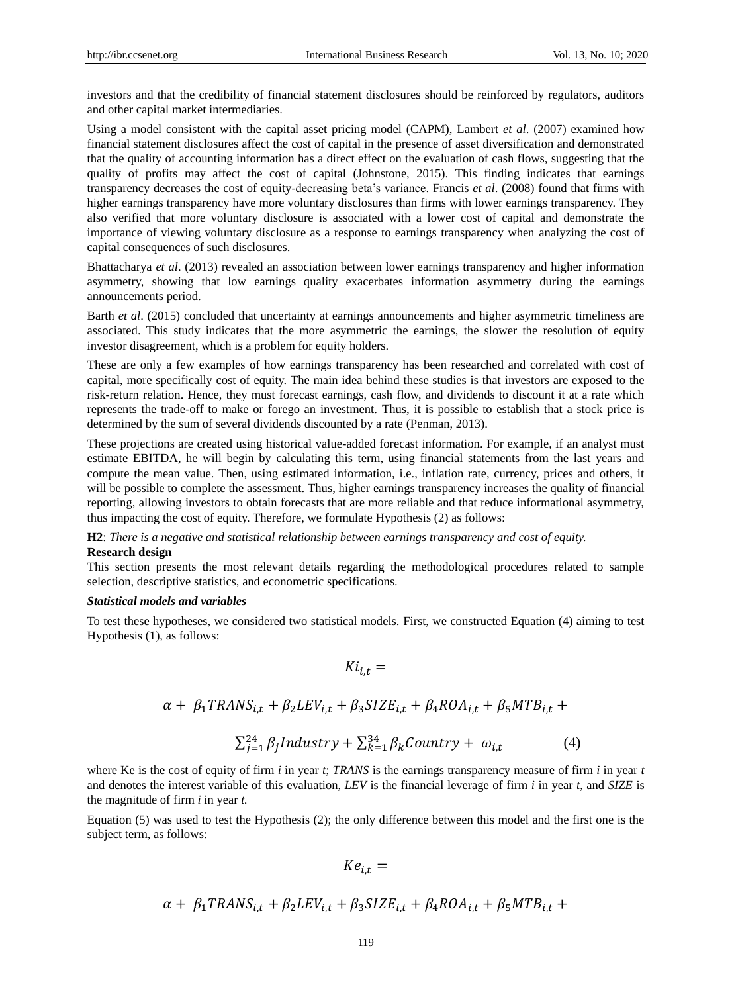investors and that the credibility of financial statement disclosures should be reinforced by regulators, auditors and other capital market intermediaries.

Using a model consistent with the capital asset pricing model (CAPM), Lambert *et al*. (2007) examined how financial statement disclosures affect the cost of capital in the presence of asset diversification and demonstrated that the quality of accounting information has a direct effect on the evaluation of cash flows, suggesting that the quality of profits may affect the cost of capital (Johnstone, 2015). This finding indicates that earnings transparency decreases the cost of equity-decreasing beta"s variance. Francis *et al*. (2008) found that firms with higher earnings transparency have more voluntary disclosures than firms with lower earnings transparency. They also verified that more voluntary disclosure is associated with a lower cost of capital and demonstrate the importance of viewing voluntary disclosure as a response to earnings transparency when analyzing the cost of capital consequences of such disclosures.

Bhattacharya *et al*. (2013) revealed an association between lower earnings transparency and higher information asymmetry, showing that low earnings quality exacerbates information asymmetry during the earnings announcements period.

Barth *et al*. (2015) concluded that uncertainty at earnings announcements and higher asymmetric timeliness are associated. This study indicates that the more asymmetric the earnings, the slower the resolution of equity investor disagreement, which is a problem for equity holders.

These are only a few examples of how earnings transparency has been researched and correlated with cost of capital, more specifically cost of equity. The main idea behind these studies is that investors are exposed to the risk-return relation. Hence, they must forecast earnings, cash flow, and dividends to discount it at a rate which represents the trade-off to make or forego an investment. Thus, it is possible to establish that a stock price is determined by the sum of several dividends discounted by a rate (Penman, 2013).

These projections are created using historical value-added forecast information. For example, if an analyst must estimate EBITDA, he will begin by calculating this term, using financial statements from the last years and compute the mean value. Then, using estimated information, i.e., inflation rate, currency, prices and others, it will be possible to complete the assessment. Thus, higher earnings transparency increases the quality of financial reporting, allowing investors to obtain forecasts that are more reliable and that reduce informational asymmetry, thus impacting the cost of equity. Therefore, we formulate Hypothesis (2) as follows:

**H2**: *There is a negative and statistical relationship between earnings transparency and cost of equity.*

#### **Research design**

This section presents the most relevant details regarding the methodological procedures related to sample selection, descriptive statistics, and econometric specifications.

#### *Statistical models and variables*

To test these hypotheses, we considered two statistical models. First, we constructed Equation (4) aiming to test Hypothesis (1), as follows:

$$
Ki_{i,t} =
$$

$$
\alpha + \beta_1 TRANS_{i,t} + \beta_2 LEV_{i,t} + \beta_3 SIZE_{i,t} + \beta_4 ROA_{i,t} + \beta_5 MTB_{i,t} +
$$
  

$$
\sum_{j=1}^{24} \beta_j Industry + \sum_{k=1}^{34} \beta_k Country + \omega_{i,t}
$$
 (4)

where Ke is the cost of equity of firm *i* in year *t*; *TRANS* is the earnings transparency measure of firm *i* in year *t* and denotes the interest variable of this evaluation, *LEV* is the financial leverage of firm *i* in year *t*, and *SIZE* is the magnitude of firm *i* in year *t.*

Equation (5) was used to test the Hypothesis (2); the only difference between this model and the first one is the subject term, as follows:

$$
Ke_{i,t} =
$$

$$
\alpha + \beta_1 TRANS_{i,t} + \beta_2 LEV_{i,t} + \beta_3 SIZE_{i,t} + \beta_4 ROA_{i,t} + \beta_5 MTB_{i,t} +
$$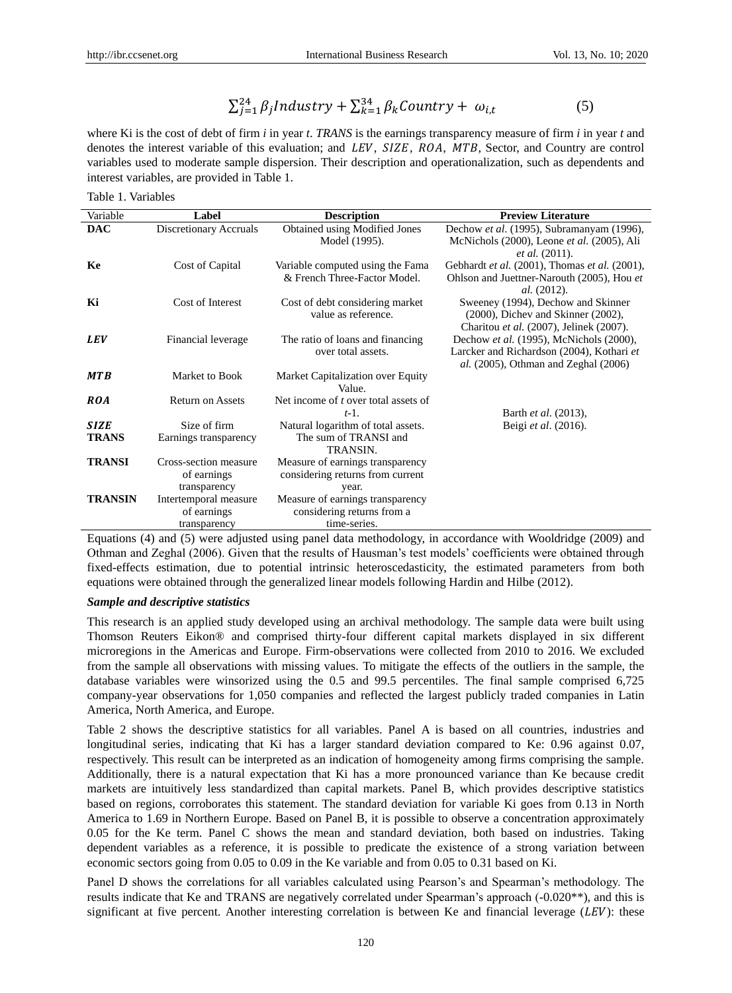## $\sum_{j=1}^{24} \beta_j$ Industry +  $\sum_{k=1}^{34} \beta_k$ Country +  $\omega_{i,t}$

(5)

where Ki is the cost of debt of firm *i* in year *t*. *TRANS* is the earnings transparency measure of firm *i* in year *t* and denotes the interest variable of this evaluation; and LEV, SIZE, ROA, MTB, Sector, and Country are control variables used to moderate sample dispersion. Their description and operationalization, such as dependents and interest variables, are provided in Table 1.

Table 1. Variables

| Variable       | Label                   | <b>Description</b>                   | <b>Preview Literature</b>                      |
|----------------|-------------------------|--------------------------------------|------------------------------------------------|
| <b>DAC</b>     | Discretionary Accruals  | Obtained using Modified Jones        | Dechow et al. (1995), Subramanyam (1996),      |
|                |                         | Model (1995).                        | McNichols (2000), Leone et al. (2005), Ali     |
|                |                         |                                      | <i>et al.</i> (2011).                          |
| Ke             | Cost of Capital         | Variable computed using the Fama     | Gebhardt et al. (2001), Thomas et al. (2001),  |
|                |                         | & French Three-Factor Model.         | Ohlson and Juettner-Narouth (2005), Hou et     |
|                |                         |                                      | <i>al.</i> (2012).                             |
| Ki             | Cost of Interest        | Cost of debt considering market      | Sweeney (1994), Dechow and Skinner             |
|                |                         | value as reference.                  | $(2000)$ , Dichev and Skinner $(2002)$ ,       |
|                |                         |                                      | Charitou et al. (2007), Jelinek (2007).        |
| <b>LEV</b>     | Financial leverage      | The ratio of loans and financing     | Dechow <i>et al.</i> (1995), McNichols (2000), |
|                |                         | over total assets.                   | Larcker and Richardson (2004), Kothari et      |
|                |                         |                                      | <i>al.</i> (2005), Othman and Zeghal (2006)    |
| <b>MTB</b>     | Market to Book          | Market Capitalization over Equity    |                                                |
|                |                         | Value.                               |                                                |
| <b>ROA</b>     | <b>Return on Assets</b> | Net income of t over total assets of |                                                |
|                |                         | $t-1$ .                              | Barth <i>et al.</i> (2013),                    |
| <b>SIZE</b>    | Size of firm            | Natural logarithm of total assets.   | Beigi et al. (2016).                           |
| <b>TRANS</b>   | Earnings transparency   | The sum of TRANSI and                |                                                |
|                |                         | TRANSIN.                             |                                                |
| <b>TRANSI</b>  | Cross-section measure   | Measure of earnings transparency     |                                                |
|                | of earnings             | considering returns from current     |                                                |
|                | transparency            | year.                                |                                                |
| <b>TRANSIN</b> | Intertemporal measure   | Measure of earnings transparency     |                                                |
|                | of earnings             | considering returns from a           |                                                |
|                | transparency            | time-series.                         |                                                |

Equations (4) and (5) were adjusted using panel data methodology, in accordance with Wooldridge (2009) and Othman and Zeghal (2006). Given that the results of Hausman"s test models" coefficients were obtained through fixed-effects estimation, due to potential intrinsic heteroscedasticity, the estimated parameters from both equations were obtained through the generalized linear models following Hardin and Hilbe (2012).

## *Sample and descriptive statistics*

This research is an applied study developed using an archival methodology. The sample data were built using Thomson Reuters Eikon® and comprised thirty-four different capital markets displayed in six different microregions in the Americas and Europe. Firm-observations were collected from 2010 to 2016. We excluded from the sample all observations with missing values. To mitigate the effects of the outliers in the sample, the database variables were winsorized using the 0.5 and 99.5 percentiles. The final sample comprised 6,725 company-year observations for 1,050 companies and reflected the largest publicly traded companies in Latin America, North America, and Europe.

Table 2 shows the descriptive statistics for all variables. Panel A is based on all countries, industries and longitudinal series, indicating that Ki has a larger standard deviation compared to Ke: 0.96 against 0.07, respectively. This result can be interpreted as an indication of homogeneity among firms comprising the sample. Additionally, there is a natural expectation that Ki has a more pronounced variance than Ke because credit markets are intuitively less standardized than capital markets. Panel B, which provides descriptive statistics based on regions, corroborates this statement. The standard deviation for variable Ki goes from 0.13 in North America to 1.69 in Northern Europe. Based on Panel B, it is possible to observe a concentration approximately 0.05 for the Ke term. Panel C shows the mean and standard deviation, both based on industries. Taking dependent variables as a reference, it is possible to predicate the existence of a strong variation between economic sectors going from 0.05 to 0.09 in the Ke variable and from 0.05 to 0.31 based on Ki.

Panel D shows the correlations for all variables calculated using Pearson"s and Spearman"s methodology. The results indicate that Ke and TRANS are negatively correlated under Spearman's approach (-0.020\*\*), and this is significant at five percent. Another interesting correlation is between Ke and financial leverage ( $LEV$ ): these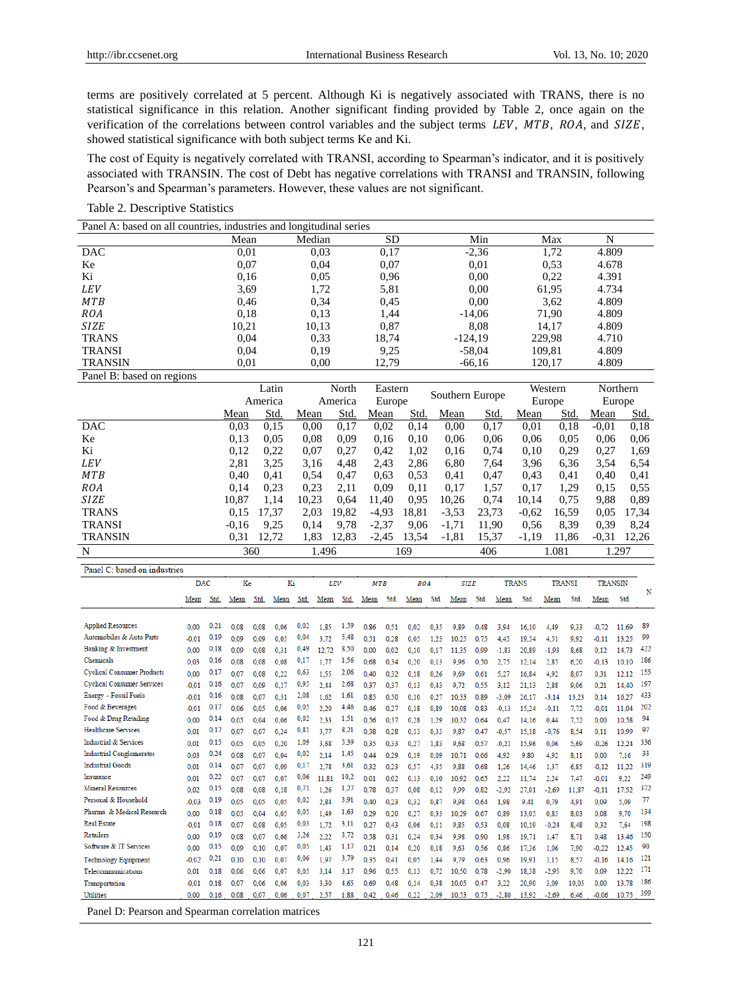terms are positively correlated at 5 percent. Although Ki is negatively associated with TRANS, there is no statistical significance in this relation. Another significant finding provided by Table 2, once again on the verification of the correlations between control variables and the subject terms  $LEV$ ,  $MTB$ ,  $ROA$ , and  $SIZE$ , showed statistical significance with both subject terms Ke and Ki.

The cost of Equity is negatively correlated with TRANSI, according to Spearman"s indicator, and it is positively associated with TRANSIN. The cost of Debt has negative correlations with TRANSI and TRANSIN, following Pearson's and Spearman's parameters. However, these values are not significant.

| Panel A: based on all countries, industries and longitudinal series |       |        |           |           |        |       |  |
|---------------------------------------------------------------------|-------|--------|-----------|-----------|--------|-------|--|
|                                                                     | Mean  | Median | <b>SD</b> | Min       | Max    | N     |  |
| DAC                                                                 | 0.01  | 0.03   | 0,17      | $-2,36$   | 1,72   | 4.809 |  |
| Ke                                                                  | 0,07  | 0.04   | 0,07      | 0.01      | 0.53   | 4.678 |  |
| Ki                                                                  | 0.16  | 0.05   | 0,96      | 0.00      | 0,22   | 4.391 |  |
| LEV                                                                 | 3.69  | 1,72   | 5,81      | 0.00      | 61,95  | 4.734 |  |
| <b>MTB</b>                                                          | 0.46  | 0.34   | 0.45      | 0.00      | 3,62   | 4.809 |  |
| <i>ROA</i>                                                          | 0.18  | 0.13   | 1,44      | $-14,06$  | 71,90  | 4.809 |  |
| SIZE                                                                | 10.21 | 10,13  | 0.87      | 8.08      | 14.17  | 4.809 |  |
| <b>TRANS</b>                                                        | 0.04  | 0.33   | 18,74     | $-124.19$ | 229.98 | 4.710 |  |
| <b>TRANSI</b>                                                       | 0.04  | 0,19   | 9,25      | $-58,04$  | 109,81 | 4.809 |  |
| <b>TRANSIN</b>                                                      | 0.01  | 0.00   | 12,79     | $-66,16$  | 120,17 | 4.809 |  |
| .                                                                   |       |        |           |           |        |       |  |

#### Table 2. Descriptive Statistics

| Panel B: based on regions |         |         |       |         |         |       |                 |       |         |         |          |       |
|---------------------------|---------|---------|-------|---------|---------|-------|-----------------|-------|---------|---------|----------|-------|
|                           |         | Latin   |       | North   | Eastern |       | Southern Europe |       |         | Western | Northern |       |
|                           |         | America |       | America | Europe  |       |                 |       | Europe  |         | Europe   |       |
|                           | Mean    | Std.    | Mean  | Std.    | Mean    | Std.  | Mean            | Std.  | Mean    | Std.    | Mean     | Std.  |
| <b>DAC</b>                | 0.03    | 0,15    | 0.00  | 0,17    | 0,02    | 0.14  | 0.00            | 0,17  | 0,01    | 0.18    | $-0.01$  | 0,18  |
| Ke                        | 0.13    | 0.05    | 0.08  | 0.09    | 0,16    | 0,10  | 0,06            | 0,06  | 0,06    | 0.05    | 0,06     | 0,06  |
| Ki                        | 0,12    | 0,22    | 0,07  | 0.27    | 0,42    | 1,02  | 0,16            | 0.74  | 0,10    | 0,29    | 0,27     | 1,69  |
| LEV                       | 2,81    | 3,25    | 3,16  | 4,48    | 2,43    | 2,86  | 6,80            | 7,64  | 3.96    | 6,36    | 3,54     | 6,54  |
| <b>MTB</b>                | 0.40    | 0,41    | 0.54  | 0,47    | 0.63    | 0.53  | 0,41            | 0,47  | 0.43    | 0.41    | 0,40     | 0.41  |
| <i>ROA</i>                | 0.14    | 0,23    | 0,23  | 2,11    | 0.09    | 0,11  | 0,17            | 1,57  | 0,17    | 1,29    | 0.15     | 0.55  |
| <b>SIZE</b>               | 10,87   | 1,14    | 10,23 | 0.64    | 11,40   | 0,95  | 10,26           | 0,74  | 10,14   | 0.75    | 9,88     | 0,89  |
| <b>TRANS</b>              | 0.15    | 17,37   | 2,03  | 19,82   | $-4,93$ | 18,81 | $-3,53$         | 23,73 | $-0.62$ | 16,59   | 0.05     | 17,34 |
| <b>TRANSI</b>             | $-0.16$ | 9,25    | 0,14  | 9,78    | $-2,37$ | 9,06  | $-1,71$         | 11,90 | 0.56    | 8,39    | 0.39     | 8,24  |
| <b>TRANSIN</b>            | 0.31    | 12,72   | 1,83  | 12,83   | $-2,45$ | 13,54 | $-1,81$         | 15,37 | $-1,19$ | 11,86   | $-0.31$  | 12,26 |
| N                         | 360     |         | 1.496 |         |         | 169   |                 | 406   |         | 1.081   | 1.297    |       |

| Panel C: based on industries      |            |      |      |      |      |      |       |      |            |      |            |      |             |      |         |              |         |               |         |                |     |
|-----------------------------------|------------|------|------|------|------|------|-------|------|------------|------|------------|------|-------------|------|---------|--------------|---------|---------------|---------|----------------|-----|
|                                   | <b>DAC</b> |      | Ke   |      | Κi   |      | LEV   |      | <b>MTB</b> |      | <b>ROA</b> |      | <b>SIZE</b> |      |         | <b>TRANS</b> |         | <b>TRANSI</b> |         | <b>TRANSIN</b> |     |
|                                   | Mean       | Std. | Mean | Std. | Mean | Std. | Mean  | Std. | Mean       | Std. | Mean       | Std. | Mean        | Std. | Mean    | Std.         | Mean    | Std.          | Mean    | Std.           | N   |
| <b>Applied Resources</b>          |            | 0.21 |      |      |      | 0.02 |       | 1,59 |            |      |            |      |             |      |         |              |         |               |         |                | 89  |
| Automobiles & Auto Parts          | 0.00       | 0,19 | 0.08 | 0.08 | 0.06 | 0.04 | 1.85  | 5,48 | 0.86       | 0.51 | 0.02       | 0.35 | 9.89        | 0.48 | 3.94    | 16.10        | 4.49    | 9.33          | $-0.72$ | 11.69          | 99  |
| Banking & Investment              | $-0.01$    | 0.18 | 0.09 | 0.09 | 0.05 | 0,49 | 3.72  | 8,50 | 0.51       | 0.28 | 0.05       | 1.23 | 10.25       | 0.75 | 4.45    | 19.54        | 4.51    | 9.92          | $-0.11$ | 13.25          | 422 |
| Chemicals                         | 0.00       | 0.16 | 0.09 | 0.08 | 0.31 | 0.17 | 12.72 | 1,56 | 0.00       | 0.02 | 0.10       | 0.17 | 11.35       | 0.99 | $-1.83$ | 20.89        | $-1.93$ | 8.68          | 0.12    | 14.73          | 186 |
|                                   | 0.03       |      | 0.08 | 0.08 | 0.08 |      | 1.77  |      | 0.68       | 0.34 | 0.20       | 0.13 | 9.96        | 0.50 | 2.75    | 12.14        | 2.85    | 6.20          | $-0.13$ | 10.10          |     |
| <b>Cyclical Consumer Products</b> | 0.00       | 0.17 | 0.07 | 0.08 | 0.22 | 0.63 | 1.55  | 2,06 | 0.40       | 0.32 | 0.18       | 0.26 | 9.69        | 0.61 | 5.27    | 16.84        | 4.92    | 8.07          | 0.31    | 12.12          | 155 |
| <b>Cyclical Consumer Services</b> | $-0.01$    | 0.16 | 0.07 | 0.09 | 0.17 | 0.95 | 2.44  | 2.68 | 0.37       | 0.37 | 0.13       | 0.43 | 9.72        | 0.55 | 3.12    | 21.13        | 2.88    | 9.06          | 0.21    | 14.40          | 197 |
| Energy - Fossil Fuels             | $-0.01$    | 0.16 | 0.08 | 0.07 | 0.31 | 2,08 | 1.62  | 1,61 | 0.85       | 0.50 | 0.10       | 0.27 | 10.33       | 0.89 | $-3.09$ | 26.17        | $-3.14$ | 13.23         | 0.14    | 16.27          | 433 |
| Food & Beverages                  | $-0.01$    | 0.17 | 0.06 | 0.05 | 0.06 | 0.05 | 2.20  | 4,46 | 0.46       | 0.27 | 0.18       | 0.89 | 10.08       | 0.83 | $-0.13$ | 15.24        | $-0.11$ | 7.72          | $-0.01$ | 11.04          | 202 |
| Food & Drug Retailing             | 0.00       | 0.14 | 0.05 | 0.04 | 0.06 | 0.02 | 2.33  | 1,51 | 0.56       | 0.37 | 0.28       | 1.29 | 10.32       | 0.64 | 0.47    | 14.16        | 0.44    | 7.52          | 0.00    | 10.58          | 94  |
| <b>Healthcare Services</b>        | 0.01       | 0.17 | 0.07 | 0.07 | 0.24 | 0.81 | 3.77  | 8,21 | 0.38       | 0.28 | 0.13       | 0.33 | 9.87        | 0.47 | $-0.57$ | 15.18        | $-0.76$ | 8.54          | 0.11    | 10.99          | 97  |
| Industrial & Services             | 0.01       | 0.15 | 0.05 | 0.05 | 0.20 | 1.09 | 3.68  | 5.39 | 0.35       | 0.33 | 0.27       | 1.83 | 9.68        | 0.57 | $-0.21$ | 15.96        | 0.06    | 5.69          | $-0.26$ | 12.24          | 336 |
| <b>Industrial Conglomerates</b>   | 0.03       | 0,24 | 0.08 | 0.07 | 0.04 | 0.02 | 2.14  | 1,45 | 0.44       | 0.29 | 0.19       | 0.09 | 10.71       | 0.66 | 4.92    | 9.80         | 4.92    | 8.11          | 0.00    | 7.16           | 33  |
| <b>Industrial Goods</b>           | 0.01       | 0.14 | 0.07 | 0.07 | 0.09 | 0.17 | 2.78  | 3,61 | 0.32       | 0.23 | 0.57       | 4.35 | 9.88        | 0.68 | 1.26    | 14,46        | 1.37    | 6.85          | $-0.12$ | 11.22          | 319 |
| Insurance                         | 0.01       | 0,22 | 0.07 | 0.07 | 0.07 | 0.06 | 11.81 | 10,2 | 0.01       | 0.02 | 0.13       | 0.10 | 10.92       | 0.65 | 2.22    | 11.74        | 2,24    | 7.47          | $-0.01$ | 9.22           | 249 |
| <b>Mineral Resources</b>          | 0.02       | 0.15 | 0.08 | 0.08 | 0.18 | 0.71 | 1.26  | 1,27 | 0.78       | 0.37 | 0.08       | 0.12 | 9.99        | 0.82 | $-2.92$ | 27.01        | $-2.69$ | 11.87         | $-0.11$ | 17.52          | 372 |
| Personal & Household              | $-0.03$    | 0,19 | 0.05 | 0.05 | 0.05 | 0,02 | 2.84  | 3,91 | 0.40       | 0.23 | 0.32       | 0.87 | 9.98        | 0.64 | 1.98    | 9.41         | 0.79    | 4.91          | 0.09    | 5.09           | 77  |
| Pharma, & Medical Research        | 0.00       | 0.18 | 0.05 | 0.04 | 0.05 | 0,05 | 1.49  | 1,63 | 0.29       | 0.20 | 0.27       | 0.33 | 10.29       | 0.67 | 0.89    | 13.05        | 0.85    | 8.03          | 0.08    | 9.70           | 134 |
| <b>Real Estate</b>                | $-0.01$    | 0.18 | 0.07 | 0.08 | 0.05 | 0.03 | 1.72  | 3,11 | 0.27       | 0.43 | 0.06       | 0.11 | 9.85        | 0.53 | 0.08    | 10.19        | $-0.24$ | 8.48          | 0.32    | 7.64           | 198 |
| <b>Retailers</b>                  | 0.00       | 0,19 | 0.08 | 0.07 | 0.66 | 3,26 | 2.22  | 3,72 | 0.58       | 0.31 | 0.24       | 0.34 | 9.98        | 0.90 | 1.98    | 19.71        | 1.47    | 8.71          | 0.48    | 13.46          | 150 |
| Software & IT Services            | 0.00       | 0.15 | 0.09 | 0.10 | 0.07 | 0,05 | 1.43  | 1,17 | 0.21       | 0.14 | 0.20       | 0.18 | 9.63        | 0.56 | 0.86    | 17.36        | 1.06    | 7.90          | $-0.22$ | 12.45          | 90  |
| <b>Technology Equipment</b>       | $-0.02$    | 0.21 | 0.10 | 0.10 | 0.07 | 0,06 | 1.97  | 3,79 | 0.35       | 0.41 | 0.05       | 1.44 | 9.79        | 0.63 | 0.96    | 19.91        | 1.15    | 8.57          | $-0.16$ | 14.16          | 121 |
| Telecommunications                | 0.01       | 0.18 | 0.06 | 0.06 | 0.07 | 0.05 | 3.14  | 3.17 | 0.96       | 0.55 | 0.13       | 0.72 | 10.50       | 0.78 | $-2.90$ | 18.38        | $-2.95$ | 9.70          | 0.09    | 12.22          | 171 |
| Transportation                    | $-0.01$    | 0.18 | 0.07 | 0.06 | 0.06 | 0.03 | 3.30  | 4.65 | 0.69       | 0.48 | 0.14       | 0.38 | 10.05       | 0.47 | 3,22    | 20.90        | 3.09    | 10.05         | 0.00    | 13.78          | 186 |
| <b>Utilities</b>                  | 0.00       | 0.16 | 0.08 | 0.07 | 0.06 | 0.07 | 2.57  | 1.88 | 0.42       | 0.46 | 0.22       | 2.09 | 10.53       | 0.75 | $-2.80$ | 13.92        | $-2.69$ | 6.46          | $-0.06$ | 10.75          | 399 |
|                                   |            |      |      |      |      |      |       |      |            |      |            |      |             |      |         |              |         |               |         |                |     |

Panel D: Pearson and Spearman correlation matrices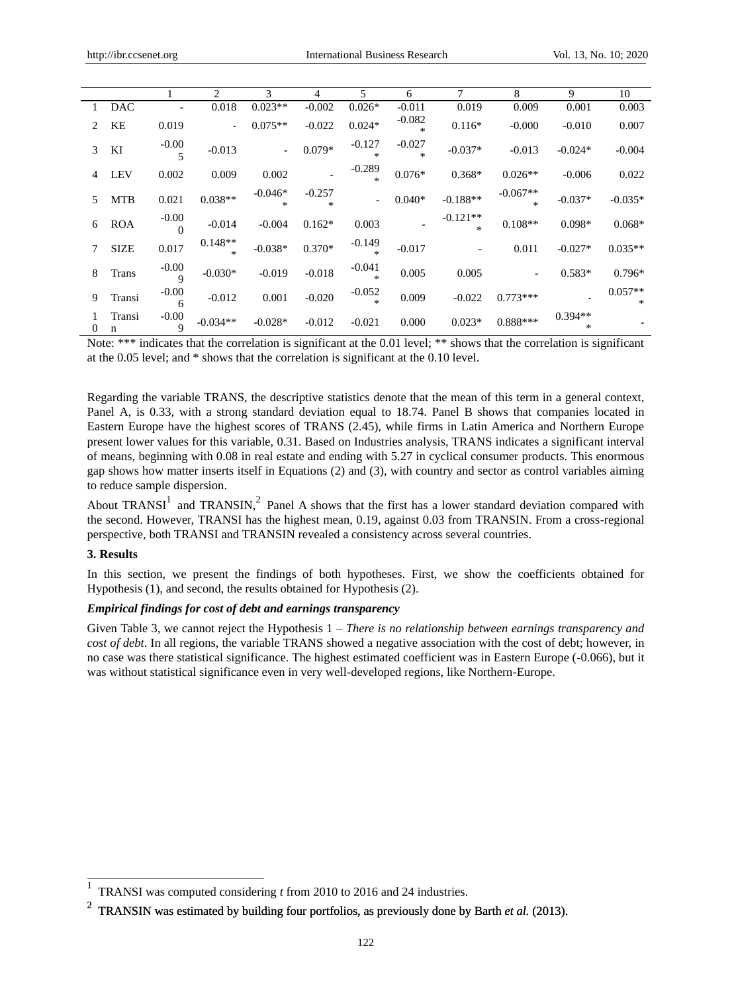|   |              |                         | $\mathcal{D}_{\mathcal{A}}$ | 3              | 4                  | 5                        | 6                  |                          | 8          | 9              | 10             |
|---|--------------|-------------------------|-----------------------------|----------------|--------------------|--------------------------|--------------------|--------------------------|------------|----------------|----------------|
|   | <b>DAC</b>   |                         | 0.018                       | $0.023**$      | $-0.002$           | $0.026*$                 | $-0.011$           | 0.019                    | 0.009      | 0.001          | 0.003          |
| 2 | KE           | 0.019                   |                             | $0.075**$      | $-0.022$           | $0.024*$                 | $-0.082$<br>$\ast$ | $0.116*$                 | $-0.000$   | $-0.010$       | 0.007          |
| 3 | KI           | $-0.00$                 | $-0.013$                    |                | $0.079*$           | $-0.127$<br>*            | $-0.027$<br>$\ast$ | $-0.037*$                | $-0.013$   | $-0.024*$      | $-0.004$       |
| 4 | LEV          | 0.002                   | 0.009                       | 0.002          |                    | $-0.289$                 | $0.076*$           | $0.368*$                 | $0.026**$  | $-0.006$       | 0.022          |
| 5 | <b>MTB</b>   | 0.021                   | $0.038**$                   | $-0.046*$<br>∗ | $-0.257$<br>$\ast$ | $\overline{\phantom{a}}$ | $0.040*$           | $-0.188**$               | $-0.067**$ | $-0.037*$      | $-0.035*$      |
| 6 | <b>ROA</b>   | $-0.00$<br>$\Omega$     | $-0.014$                    | $-0.004$       | $0.162*$           | 0.003                    |                    | $-0.121**$<br>*          | $0.108**$  | $0.098*$       | $0.068*$       |
|   | <b>SIZE</b>  | 0.017                   | $0.148**$                   | $-0.038*$      | 0.370*             | $-0.149$                 | $-0.017$           | $\overline{\phantom{a}}$ | 0.011      | $-0.027*$      | $0.035**$      |
| 8 | <b>Trans</b> | $-0.00$<br>$\mathbf{Q}$ | $-0.030*$                   | $-0.019$       | $-0.018$           | $-0.041$                 | 0.005              | 0.005                    |            | $0.583*$       | $0.796*$       |
| 9 | Transi       | $-0.00$<br>6            | $-0.012$                    | 0.001          | $-0.020$           | $-0.052$                 | 0.009              | $-0.022$                 | $0.773***$ |                | $0.057**$<br>* |
| 0 | Transi<br>n  | $-0.00$<br>$\mathbf Q$  | $-0.034**$                  | $-0.028*$      | $-0.012$           | $-0.021$                 | 0.000              | $0.023*$                 | $0.888***$ | $0.394**$<br>* |                |

Note: \*\*\* indicates that the correlation is significant at the 0.01 level; \*\* shows that the correlation is significant at the 0.05 level; and \* shows that the correlation is significant at the 0.10 level.

Regarding the variable TRANS, the descriptive statistics denote that the mean of this term in a general context, Panel A, is 0.33, with a strong standard deviation equal to 18.74. Panel B shows that companies located in Eastern Europe have the highest scores of TRANS (2.45), while firms in Latin America and Northern Europe present lower values for this variable, 0.31. Based on Industries analysis, TRANS indicates a significant interval of means, beginning with 0.08 in real estate and ending with 5.27 in cyclical consumer products. This enormous gap shows how matter inserts itself in Equations (2) and (3), with country and sector as control variables aiming to reduce sample dispersion.

About TRANSI<sup>1</sup> and TRANSIN,<sup>2</sup> Panel A shows that the first has a lower standard deviation compared with the second. However, TRANSI has the highest mean, 0.19, against 0.03 from TRANSIN. From a cross-regional perspective, both TRANSI and TRANSIN revealed a consistency across several countries.

## **3. Results**

 $\overline{a}$ 

In this section, we present the findings of both hypotheses. First, we show the coefficients obtained for Hypothesis (1), and second, the results obtained for Hypothesis (2).

## *Empirical findings for cost of debt and earnings transparency*

Given Table 3, we cannot reject the Hypothesis 1 *– There is no relationship between earnings transparency and cost of debt*. In all regions, the variable TRANS showed a negative association with the cost of debt; however, in no case was there statistical significance. The highest estimated coefficient was in Eastern Europe (-0.066), but it was without statistical significance even in very well-developed regions, like Northern-Europe.

<sup>1</sup> TRANSI was computed considering *t* from 2010 to 2016 and 24 industries.

<sup>2</sup> TRANSIN was estimated by building four portfolios, as previously done by Barth *et al.* (2013).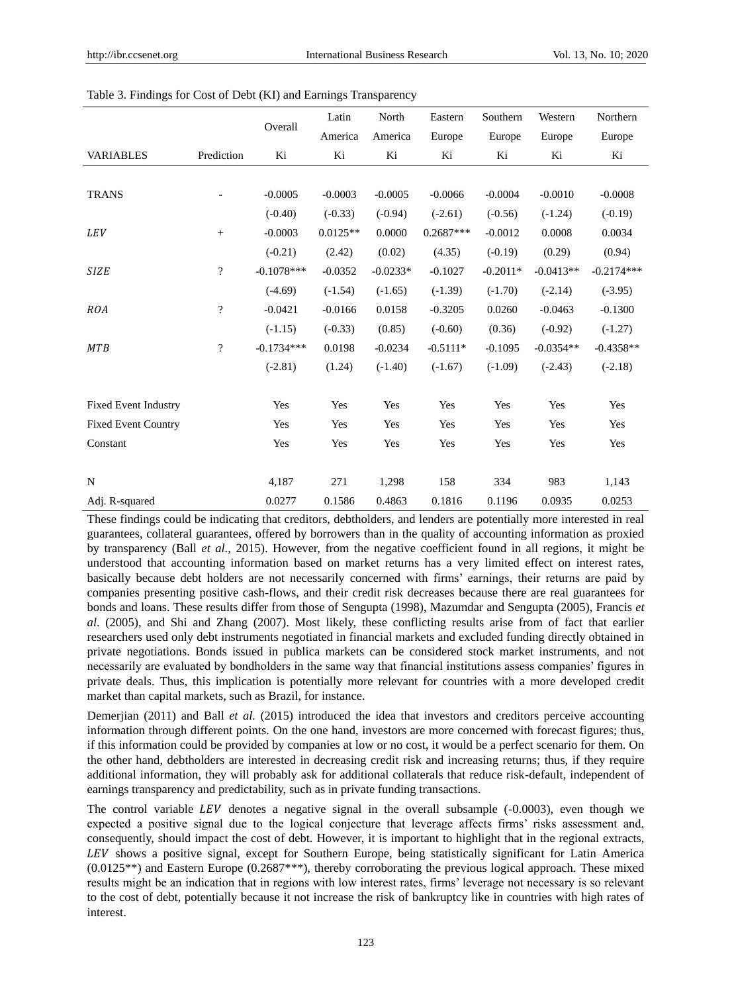|                             |                    |              | Latin      | North      | Eastern     | Southern   | Western     | Northern     |
|-----------------------------|--------------------|--------------|------------|------------|-------------|------------|-------------|--------------|
|                             |                    | Overall      | America    | America    | Europe      | Europe     | Europe      | Europe       |
| <b>VARIABLES</b>            | Prediction         | Ki           | Ki         | Ki         | Ki          | Ki         | Ki          | Ki           |
|                             |                    |              |            |            |             |            |             |              |
| <b>TRANS</b>                |                    | $-0.0005$    | $-0.0003$  | $-0.0005$  | $-0.0066$   | $-0.0004$  | $-0.0010$   | $-0.0008$    |
|                             |                    | $(-0.40)$    | $(-0.33)$  | $(-0.94)$  | $(-2.61)$   | $(-0.56)$  | $(-1.24)$   | $(-0.19)$    |
| <b>LEV</b>                  | $^{+}$             | $-0.0003$    | $0.0125**$ | 0.0000     | $0.2687***$ | $-0.0012$  | 0.0008      | 0.0034       |
|                             |                    | $(-0.21)$    | (2.42)     | (0.02)     | (4.35)      | $(-0.19)$  | (0.29)      | (0.94)       |
| <b>SIZE</b>                 | $\overline{\cdot}$ | $-0.1078***$ | $-0.0352$  | $-0.0233*$ | $-0.1027$   | $-0.2011*$ | $-0.0413**$ | $-0.2174***$ |
|                             |                    | $(-4.69)$    | $(-1.54)$  | $(-1.65)$  | $(-1.39)$   | $(-1.70)$  | $(-2.14)$   | $(-3.95)$    |
| <b>ROA</b>                  | $\overline{\cdot}$ | $-0.0421$    | $-0.0166$  | 0.0158     | $-0.3205$   | 0.0260     | $-0.0463$   | $-0.1300$    |
|                             |                    | $(-1.15)$    | $(-0.33)$  | (0.85)     | $(-0.60)$   | (0.36)     | $(-0.92)$   | $(-1.27)$    |
| <b>MTB</b>                  | $\overline{\cdot}$ | $-0.1734***$ | 0.0198     | $-0.0234$  | $-0.5111*$  | $-0.1095$  | $-0.0354**$ | $-0.4358**$  |
|                             |                    | $(-2.81)$    | (1.24)     | $(-1.40)$  | $(-1.67)$   | $(-1.09)$  | $(-2.43)$   | $(-2.18)$    |
| <b>Fixed Event Industry</b> |                    | Yes          | Yes        | Yes        | Yes         | Yes        | Yes         | Yes          |
| <b>Fixed Event Country</b>  |                    | Yes          | Yes        | Yes        | Yes         | Yes        | Yes         | Yes          |
| Constant                    |                    | Yes          | Yes        | Yes        | Yes         | Yes        | Yes         | Yes          |
|                             |                    |              |            |            |             |            |             |              |
| N                           |                    | 4,187        | 271        | 1,298      | 158         | 334        | 983         | 1,143        |
| Adj. R-squared              |                    | 0.0277       | 0.1586     | 0.4863     | 0.1816      | 0.1196     | 0.0935      | 0.0253       |

Table 3. Findings for Cost of Debt (KI) and Earnings Transparency

These findings could be indicating that creditors, debtholders, and lenders are potentially more interested in real guarantees, collateral guarantees, offered by borrowers than in the quality of accounting information as proxied by transparency (Ball *et al.,* 2015). However, from the negative coefficient found in all regions, it might be understood that accounting information based on market returns has a very limited effect on interest rates, basically because debt holders are not necessarily concerned with firms" earnings, their returns are paid by companies presenting positive cash-flows, and their credit risk decreases because there are real guarantees for bonds and loans. These results differ from those of Sengupta (1998), Mazumdar and Sengupta (2005), Francis *et al*. (2005), and Shi and Zhang (2007). Most likely, these conflicting results arise from of fact that earlier researchers used only debt instruments negotiated in financial markets and excluded funding directly obtained in private negotiations. Bonds issued in publica markets can be considered stock market instruments, and not necessarily are evaluated by bondholders in the same way that financial institutions assess companies" figures in private deals. Thus, this implication is potentially more relevant for countries with a more developed credit market than capital markets, such as Brazil, for instance.

Demerjian (2011) and Ball *et al.* (2015) introduced the idea that investors and creditors perceive accounting information through different points. On the one hand, investors are more concerned with forecast figures; thus, if this information could be provided by companies at low or no cost, it would be a perfect scenario for them. On the other hand, debtholders are interested in decreasing credit risk and increasing returns; thus, if they require additional information, they will probably ask for additional collaterals that reduce risk-default, independent of earnings transparency and predictability, such as in private funding transactions.

The control variable  $LEV$  denotes a negative signal in the overall subsample  $(-0.0003)$ , even though we expected a positive signal due to the logical conjecture that leverage affects firms" risks assessment and, consequently, should impact the cost of debt. However, it is important to highlight that in the regional extracts, LEV shows a positive signal, except for Southern Europe, being statistically significant for Latin America (0.0125\*\*) and Eastern Europe (0.2687\*\*\*), thereby corroborating the previous logical approach. These mixed results might be an indication that in regions with low interest rates, firms" leverage not necessary is so relevant to the cost of debt, potentially because it not increase the risk of bankruptcy like in countries with high rates of interest.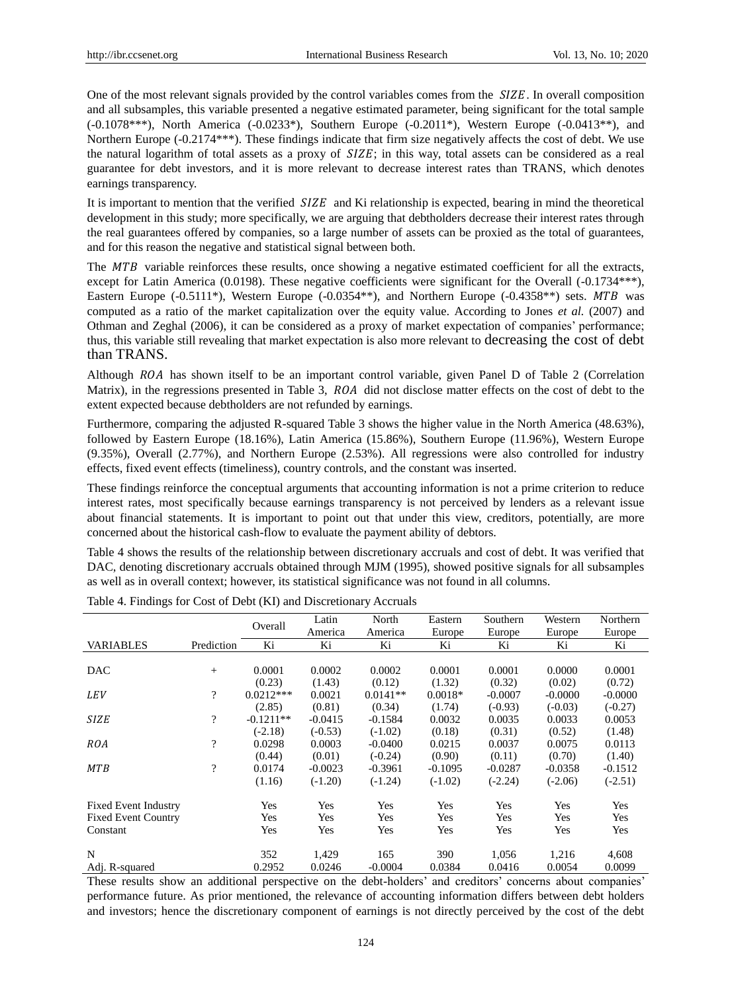One of the most relevant signals provided by the control variables comes from the  $SIZE$ . In overall composition and all subsamples, this variable presented a negative estimated parameter, being significant for the total sample (-0.1078\*\*\*), North America (-0.0233\*), Southern Europe (-0.2011\*), Western Europe (-0.0413\*\*), and Northern Europe (-0.2174\*\*\*). These findings indicate that firm size negatively affects the cost of debt. We use the natural logarithm of total assets as a proxy of  $SIZE$ ; in this way, total assets can be considered as a real guarantee for debt investors, and it is more relevant to decrease interest rates than TRANS, which denotes earnings transparency.

It is important to mention that the verified  $SIZE$  and Ki relationship is expected, bearing in mind the theoretical development in this study; more specifically, we are arguing that debtholders decrease their interest rates through the real guarantees offered by companies, so a large number of assets can be proxied as the total of guarantees, and for this reason the negative and statistical signal between both.

The MTB variable reinforces these results, once showing a negative estimated coefficient for all the extracts, except for Latin America (0.0198). These negative coefficients were significant for the Overall (-0.1734\*\*\*), Eastern Europe  $(-0.5111^*)$ , Western Europe  $(-0.0354^{**})$ , and Northern Europe  $(-0.4358^{**})$  sets. MTB was computed as a ratio of the market capitalization over the equity value. According to Jones *et al.* (2007) and Othman and Zeghal (2006), it can be considered as a proxy of market expectation of companies' performance; thus, this variable still revealing that market expectation is also more relevant to decreasing the cost of debt than TRANS.

Although ROA has shown itself to be an important control variable, given Panel D of Table 2 (Correlation Matrix), in the regressions presented in Table 3, ROA did not disclose matter effects on the cost of debt to the extent expected because debtholders are not refunded by earnings.

Furthermore, comparing the adjusted R-squared Table 3 shows the higher value in the North America (48.63%), followed by Eastern Europe (18.16%), Latin America (15.86%), Southern Europe (11.96%), Western Europe (9.35%), Overall (2.77%), and Northern Europe (2.53%). All regressions were also controlled for industry effects, fixed event effects (timeliness), country controls, and the constant was inserted.

These findings reinforce the conceptual arguments that accounting information is not a prime criterion to reduce interest rates, most specifically because earnings transparency is not perceived by lenders as a relevant issue about financial statements. It is important to point out that under this view, creditors, potentially, are more concerned about the historical cash-flow to evaluate the payment ability of debtors.

Table 4 shows the results of the relationship between discretionary accruals and cost of debt. It was verified that DAC, denoting discretionary accruals obtained through MJM (1995), showed positive signals for all subsamples as well as in overall context; however, its statistical significance was not found in all columns.

|                             |                    | Overall     | Latin     | North      | Eastern   | Southern  | Western   | Northern  |
|-----------------------------|--------------------|-------------|-----------|------------|-----------|-----------|-----------|-----------|
|                             |                    |             | America   | America    | Europe    | Europe    | Europe    | Europe    |
| <b>VARIABLES</b>            | Prediction         | Ki          | Ki        | Ki         | Ki        | Ki        | Ki        | Ki        |
|                             |                    |             |           |            |           |           |           |           |
| DAC                         | $^{+}$             | 0.0001      | 0.0002    | 0.0002     | 0.0001    | 0.0001    | 0.0000    | 0.0001    |
|                             |                    | (0.23)      | (1.43)    | (0.12)     | (1.32)    | (0.32)    | (0.02)    | (0.72)    |
| <b>LEV</b>                  | $\overline{\cdot}$ | $0.0212***$ | 0.0021    | $0.0141**$ | $0.0018*$ | $-0.0007$ | $-0.0000$ | $-0.0000$ |
|                             |                    | (2.85)      | (0.81)    | (0.34)     | (1.74)    | $(-0.93)$ | $(-0.03)$ | $(-0.27)$ |
| <i>SIZE</i>                 | ?                  | $-0.1211**$ | $-0.0415$ | $-0.1584$  | 0.0032    | 0.0035    | 0.0033    | 0.0053    |
|                             |                    | $(-2.18)$   | $(-0.53)$ | $(-1.02)$  | (0.18)    | (0.31)    | (0.52)    | (1.48)    |
| <i>ROA</i>                  | ?                  | 0.0298      | 0.0003    | $-0.0400$  | 0.0215    | 0.0037    | 0.0075    | 0.0113    |
|                             |                    | (0.44)      | (0.01)    | $(-0.24)$  | (0.90)    | (0.11)    | (0.70)    | (1.40)    |
| <b>MTB</b>                  | ?                  | 0.0174      | $-0.0023$ | $-0.3961$  | $-0.1095$ | $-0.0287$ | $-0.0358$ | $-0.1512$ |
|                             |                    | (1.16)      | $(-1.20)$ | $(-1.24)$  | $(-1.02)$ | $(-2.24)$ | $(-2.06)$ | $(-2.51)$ |
| <b>Fixed Event Industry</b> |                    | Yes         | Yes       | Yes        | Yes       | Yes       | Yes       | Yes       |
| <b>Fixed Event Country</b>  |                    | Yes         | Yes       | Yes        | Yes       | Yes       | Yes       | Yes       |
| Constant                    |                    | Yes         | Yes       | Yes        | Yes       | Yes       | Yes       | Yes       |
|                             |                    |             |           |            |           |           |           |           |
| N                           |                    | 352         | 1,429     | 165        | 390       | 1,056     | 1,216     | 4,608     |
| Adj. R-squared              |                    | 0.2952      | 0.0246    | $-0.0004$  | 0.0384    | 0.0416    | 0.0054    | 0.0099    |

Table 4. Findings for Cost of Debt (KI) and Discretionary Accruals

These results show an additional perspective on the debt-holders' and creditors' concerns about companies' performance future. As prior mentioned, the relevance of accounting information differs between debt holders and investors; hence the discretionary component of earnings is not directly perceived by the cost of the debt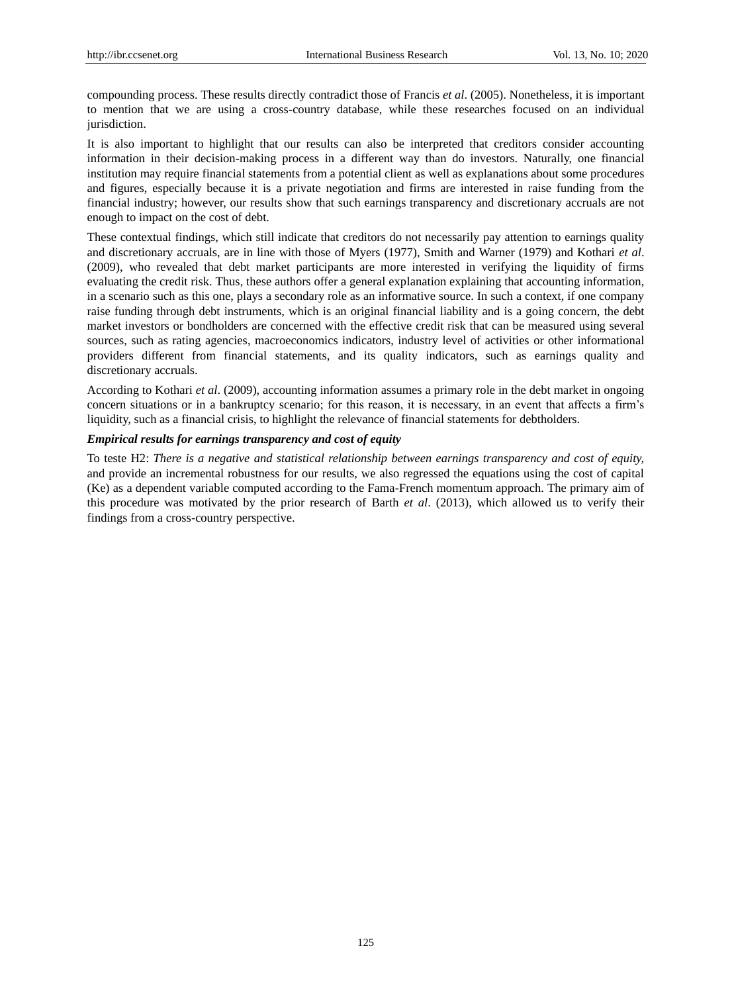compounding process. These results directly contradict those of Francis *et al*. (2005). Nonetheless, it is important to mention that we are using a cross-country database, while these researches focused on an individual jurisdiction.

It is also important to highlight that our results can also be interpreted that creditors consider accounting information in their decision-making process in a different way than do investors. Naturally, one financial institution may require financial statements from a potential client as well as explanations about some procedures and figures, especially because it is a private negotiation and firms are interested in raise funding from the financial industry; however, our results show that such earnings transparency and discretionary accruals are not enough to impact on the cost of debt.

These contextual findings, which still indicate that creditors do not necessarily pay attention to earnings quality and discretionary accruals, are in line with those of Myers (1977), Smith and Warner (1979) and Kothari *et al*. (2009), who revealed that debt market participants are more interested in verifying the liquidity of firms evaluating the credit risk. Thus, these authors offer a general explanation explaining that accounting information, in a scenario such as this one, plays a secondary role as an informative source. In such a context, if one company raise funding through debt instruments, which is an original financial liability and is a going concern, the debt market investors or bondholders are concerned with the effective credit risk that can be measured using several sources, such as rating agencies, macroeconomics indicators, industry level of activities or other informational providers different from financial statements, and its quality indicators, such as earnings quality and discretionary accruals.

According to Kothari *et al*. (2009), accounting information assumes a primary role in the debt market in ongoing concern situations or in a bankruptcy scenario; for this reason, it is necessary, in an event that affects a firm"s liquidity, such as a financial crisis, to highlight the relevance of financial statements for debtholders.

## *Empirical results for earnings transparency and cost of equity*

To teste H2: *There is a negative and statistical relationship between earnings transparency and cost of equity,*  and provide an incremental robustness for our results, we also regressed the equations using the cost of capital (Ke) as a dependent variable computed according to the Fama-French momentum approach. The primary aim of this procedure was motivated by the prior research of Barth *et al*. (2013), which allowed us to verify their findings from a cross-country perspective.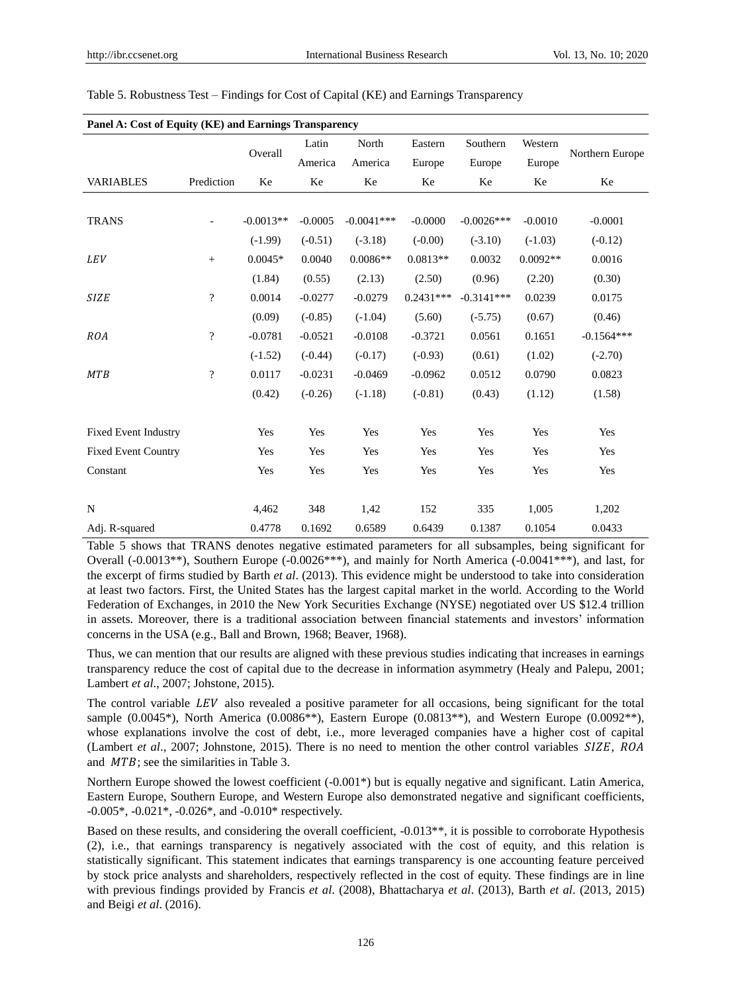| Panel A: Cost of Equity (KE) and Earnings Transparency |                          |             |           |              |             |              |            |                 |
|--------------------------------------------------------|--------------------------|-------------|-----------|--------------|-------------|--------------|------------|-----------------|
|                                                        |                          | Overall     | Latin     | North        | Eastern     | Southern     | Western    | Northern Europe |
|                                                        |                          |             | America   | America      | Europe      | Europe       | Europe     |                 |
| <b>VARIABLES</b>                                       | Prediction               | Ke          | Ke        | Ke           | Ke          | Ke           | Ke         | Ke              |
|                                                        |                          |             |           |              |             |              |            |                 |
| <b>TRANS</b>                                           |                          | $-0.0013**$ | $-0.0005$ | $-0.0041***$ | $-0.0000$   | $-0.0026***$ | $-0.0010$  | $-0.0001$       |
|                                                        |                          | $(-1.99)$   | $(-0.51)$ | $(-3.18)$    | $(-0.00)$   | $(-3.10)$    | $(-1.03)$  | $(-0.12)$       |
| <i>LEV</i>                                             | $\qquad \qquad +$        | $0.0045*$   | 0.0040    | $0.0086**$   | $0.0813**$  | 0.0032       | $0.0092**$ | 0.0016          |
|                                                        |                          | (1.84)      | (0.55)    | (2.13)       | (2.50)      | (0.96)       | (2.20)     | (0.30)          |
| <b>SIZE</b>                                            | $\overline{\cdot}$       | 0.0014      | $-0.0277$ | $-0.0279$    | $0.2431***$ | $-0.3141***$ | 0.0239     | 0.0175          |
|                                                        |                          | (0.09)      | $(-0.85)$ | $(-1.04)$    | (5.60)      | $(-5.75)$    | (0.67)     | (0.46)          |
| <b>ROA</b>                                             | $\overline{\cdot}$       | $-0.0781$   | $-0.0521$ | $-0.0108$    | $-0.3721$   | 0.0561       | 0.1651     | $-0.1564***$    |
|                                                        |                          | $(-1.52)$   | $(-0.44)$ | $(-0.17)$    | $(-0.93)$   | (0.61)       | (1.02)     | $(-2.70)$       |
| <b>MTB</b>                                             | $\overline{\mathcal{L}}$ | 0.0117      | $-0.0231$ | $-0.0469$    | $-0.0962$   | 0.0512       | 0.0790     | 0.0823          |
|                                                        |                          | (0.42)      | $(-0.26)$ | $(-1.18)$    | $(-0.81)$   | (0.43)       | (1.12)     | (1.58)          |
| <b>Fixed Event Industry</b>                            |                          | Yes         | Yes       | Yes          | Yes         | Yes          | Yes        | Yes             |
| <b>Fixed Event Country</b>                             |                          | Yes         | Yes       | Yes          | Yes         | Yes          | Yes        | Yes             |
| Constant                                               |                          | Yes         | Yes       | Yes          | Yes         | Yes          | Yes        | Yes             |
| N                                                      |                          | 4,462       | 348       | 1,42         | 152         | 335          | 1,005      | 1,202           |
| Adj. R-squared                                         |                          | 0.4778      | 0.1692    | 0.6589       | 0.6439      | 0.1387       | 0.1054     | 0.0433          |

## Table 5. Robustness Test – Findings for Cost of Capital (KE) and Earnings Transparency

Table 5 shows that TRANS denotes negative estimated parameters for all subsamples, being significant for Overall (-0.0013\*\*), Southern Europe (-0.0026\*\*\*), and mainly for North America (-0.0041\*\*\*), and last, for the excerpt of firms studied by Barth *et al*. (2013). This evidence might be understood to take into consideration at least two factors. First, the United States has the largest capital market in the world. According to the World Federation of Exchanges, in 2010 the New York Securities Exchange (NYSE) negotiated over US \$12.4 trillion in assets. Moreover, there is a traditional association between financial statements and investors" information concerns in the USA (e.g., Ball and Brown, 1968; Beaver, 1968).

Thus, we can mention that our results are aligned with these previous studies indicating that increases in earnings transparency reduce the cost of capital due to the decrease in information asymmetry (Healy and Palepu, 2001; Lambert *et al*., 2007; Johstone, 2015).

The control variable LEV also revealed a positive parameter for all occasions, being significant for the total sample (0.0045\*), North America (0.0086\*\*), Eastern Europe (0.0813\*\*), and Western Europe (0.0092\*\*), whose explanations involve the cost of debt, i.e., more leveraged companies have a higher cost of capital (Lambert *et al.*, 2007; Johnstone, 2015). There is no need to mention the other control variables *SIZE*, ROA and  $MTB$ ; see the similarities in Table 3.

Northern Europe showed the lowest coefficient (-0.001\*) but is equally negative and significant. Latin America, Eastern Europe, Southern Europe, and Western Europe also demonstrated negative and significant coefficients, -0.005\*, -0.021\*, -0.026\*, and -0.010\* respectively.

Based on these results, and considering the overall coefficient, -0.013\*\*, it is possible to corroborate Hypothesis (2), i.e., that earnings transparency is negatively associated with the cost of equity, and this relation is statistically significant. This statement indicates that earnings transparency is one accounting feature perceived by stock price analysts and shareholders, respectively reflected in the cost of equity. These findings are in line with previous findings provided by Francis *et al*. (2008), Bhattacharya *et al*. (2013), Barth *et al*. (2013, 2015) and Beigi *et al*. (2016).

126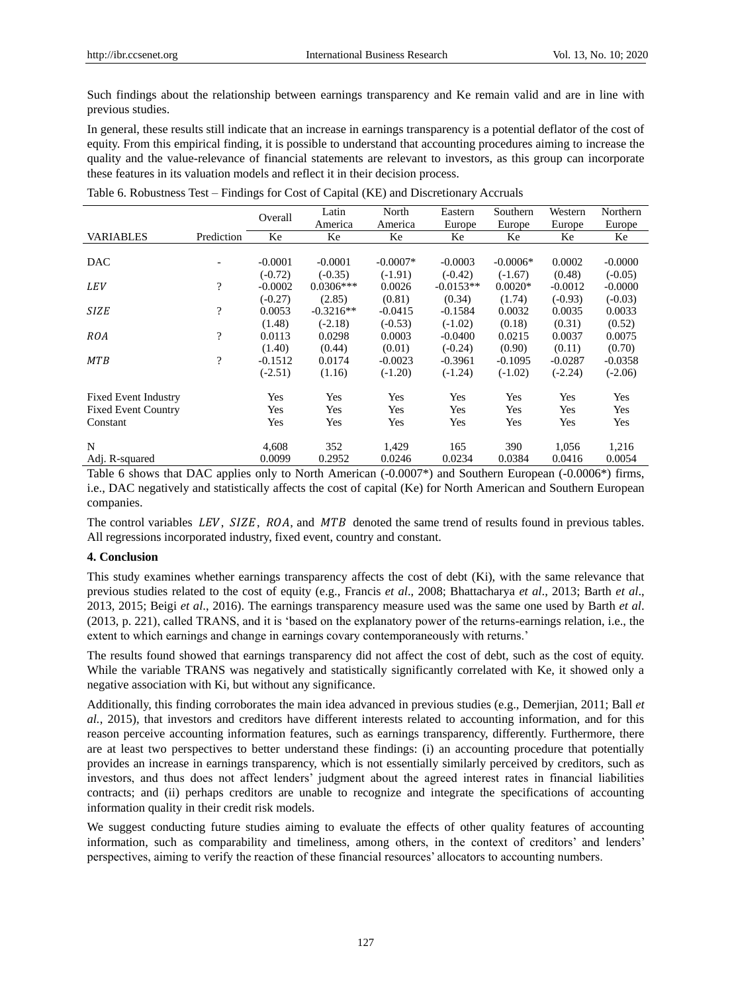Such findings about the relationship between earnings transparency and Ke remain valid and are in line with previous studies.

In general, these results still indicate that an increase in earnings transparency is a potential deflator of the cost of equity. From this empirical finding, it is possible to understand that accounting procedures aiming to increase the quality and the value-relevance of financial statements are relevant to investors, as this group can incorporate these features in its valuation models and reflect it in their decision process.

|                             |                          | Overall   | Latin<br>America | North<br>America | Eastern<br>Europe | Southern<br>Europe | Western<br>Europe | Northern<br>Europe |
|-----------------------------|--------------------------|-----------|------------------|------------------|-------------------|--------------------|-------------------|--------------------|
| <b>VARIABLES</b>            | Prediction               | Ke        | Ke               | Ke               | Ke                | Ke                 | Ke                | Ke                 |
|                             |                          |           |                  |                  |                   |                    |                   |                    |
| <b>DAC</b>                  |                          | $-0.0001$ | $-0.0001$        | $-0.0007*$       | $-0.0003$         | $-0.0006*$         | 0.0002            | $-0.0000$          |
|                             |                          | $(-0.72)$ | $(-0.35)$        | $(-1.91)$        | $(-0.42)$         | $(-1.67)$          | (0.48)            | $(-0.05)$          |
| <b>LEV</b>                  | $\overline{\cdot}$       | $-0.0002$ | $0.0306***$      | 0.0026           | $-0.0153**$       | $0.0020*$          | $-0.0012$         | $-0.0000$          |
|                             |                          | $(-0.27)$ | (2.85)           | (0.81)           | (0.34)            | (1.74)             | $(-0.93)$         | $(-0.03)$          |
| <b>SIZE</b>                 | $\overline{\mathcal{L}}$ | 0.0053    | $-0.3216**$      | $-0.0415$        | $-0.1584$         | 0.0032             | 0.0035            | 0.0033             |
|                             |                          | (1.48)    | $(-2.18)$        | $(-0.53)$        | $(-1.02)$         | (0.18)             | (0.31)            | (0.52)             |
| <i>ROA</i>                  | $\overline{\cdot}$       | 0.0113    | 0.0298           | 0.0003           | $-0.0400$         | 0.0215             | 0.0037            | 0.0075             |
|                             |                          | (1.40)    | (0.44)           | (0.01)           | $(-0.24)$         | (0.90)             | (0.11)            | (0.70)             |
| <b>MTB</b>                  | ?                        | $-0.1512$ | 0.0174           | $-0.0023$        | $-0.3961$         | $-0.1095$          | $-0.0287$         | $-0.0358$          |
|                             |                          | $(-2.51)$ | (1.16)           | $(-1.20)$        | $(-1.24)$         | $(-1.02)$          | $(-2.24)$         | $(-2.06)$          |
| <b>Fixed Event Industry</b> |                          | Yes       | Yes              | Yes              | Yes               | Yes                | Yes               | Yes                |
| <b>Fixed Event Country</b>  |                          | Yes       | Yes              | Yes              | Yes               | Yes                | Yes               | Yes                |
| Constant                    |                          | Yes       | Yes              | Yes              | Yes               | <b>Yes</b>         | Yes               | Yes                |
| N                           |                          | 4,608     | 352              | 1,429            | 165               | 390                | 1,056             | 1,216              |
| Adj. R-squared              |                          | 0.0099    | 0.2952           | 0.0246           | 0.0234            | 0.0384             | 0.0416            | 0.0054             |

|  |  |  | Table 6. Robustness Test - Findings for Cost of Capital (KE) and Discretionary Accruals |
|--|--|--|-----------------------------------------------------------------------------------------|
|--|--|--|-----------------------------------------------------------------------------------------|

Table 6 shows that DAC applies only to North American (-0.0007<sup>\*</sup>) and Southern European (-0.0006<sup>\*</sup>) firms, i.e., DAC negatively and statistically affects the cost of capital (Ke) for North American and Southern European companies.

The control variables LEV, SIZE, ROA, and MTB denoted the same trend of results found in previous tables. All regressions incorporated industry, fixed event, country and constant.

## **4. Conclusion**

This study examines whether earnings transparency affects the cost of debt (Ki), with the same relevance that previous studies related to the cost of equity (e.g., Francis *et al*., 2008; Bhattacharya *et al*., 2013; Barth *et al*., 2013, 2015; Beigi *et al*., 2016). The earnings transparency measure used was the same one used by Barth *et al*. (2013, p. 221), called TRANS, and it is "based on the explanatory power of the returns-earnings relation, i.e., the extent to which earnings and change in earnings covary contemporaneously with returns."

The results found showed that earnings transparency did not affect the cost of debt, such as the cost of equity. While the variable TRANS was negatively and statistically significantly correlated with Ke, it showed only a negative association with Ki, but without any significance.

Additionally, this finding corroborates the main idea advanced in previous studies (e.g., Demerjian, 2011; Ball *et al.*, 2015), that investors and creditors have different interests related to accounting information, and for this reason perceive accounting information features, such as earnings transparency, differently. Furthermore, there are at least two perspectives to better understand these findings: (i) an accounting procedure that potentially provides an increase in earnings transparency, which is not essentially similarly perceived by creditors, such as investors, and thus does not affect lenders" judgment about the agreed interest rates in financial liabilities contracts; and (ii) perhaps creditors are unable to recognize and integrate the specifications of accounting information quality in their credit risk models.

We suggest conducting future studies aiming to evaluate the effects of other quality features of accounting information, such as comparability and timeliness, among others, in the context of creditors' and lenders' perspectives, aiming to verify the reaction of these financial resources" allocators to accounting numbers.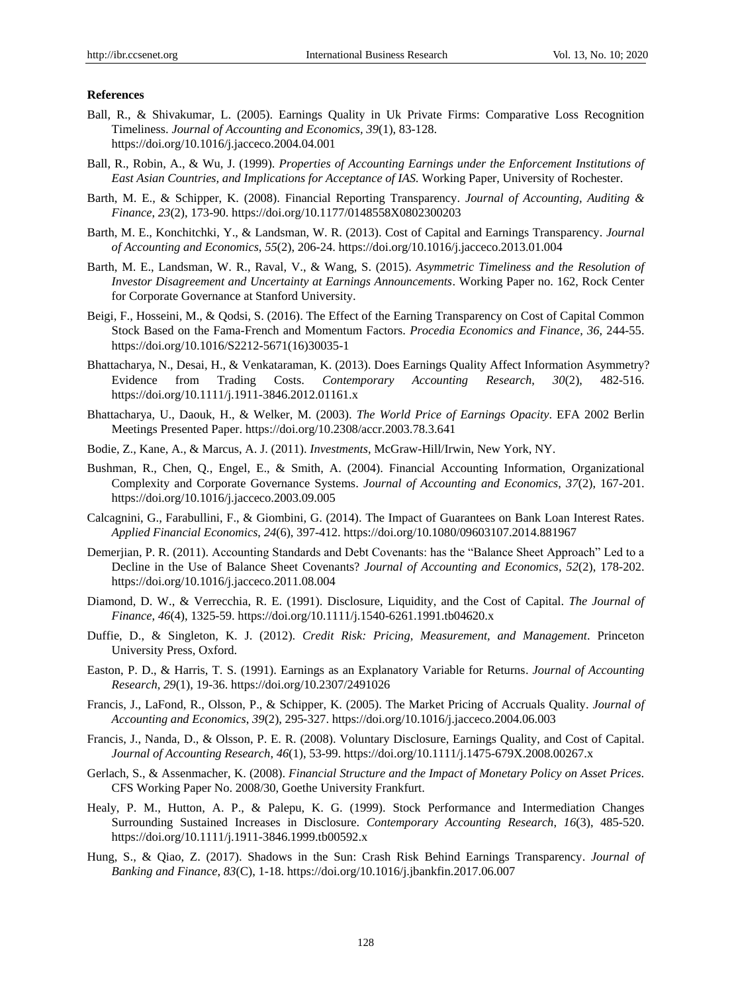## **References**

- Ball, R., & Shivakumar, L. (2005). Earnings Quality in Uk Private Firms: Comparative Loss Recognition Timeliness. *Journal of Accounting and Economics, 39*(1), 83-128. https://doi.org/10.1016/j.jacceco.2004.04.001
- Ball, R., Robin, A., & Wu, J. (1999). *Properties of Accounting Earnings under the Enforcement Institutions of East Asian Countries, and Implications for Acceptance of IAS.* Working Paper, University of Rochester.
- Barth, M. E., & Schipper, K. (2008). Financial Reporting Transparency. *Journal of Accounting, Auditing & Finance*, *23*(2), 173-90. https://doi.org/10.1177/0148558X0802300203
- Barth, M. E., Konchitchki, Y., & Landsman, W. R. (2013). Cost of Capital and Earnings Transparency. *Journal of Accounting and Economics*, *55*(2), 206-24. https://doi.org/10.1016/j.jacceco.2013.01.004
- Barth, M. E., Landsman, W. R., Raval, V., & Wang, S. (2015). *Asymmetric Timeliness and the Resolution of Investor Disagreement and Uncertainty at Earnings Announcements*. Working Paper no. 162, Rock Center for Corporate Governance at Stanford University.
- Beigi, F., Hosseini, M., & Qodsi, S. (2016). The Effect of the Earning Transparency on Cost of Capital Common Stock Based on the Fama-French and Momentum Factors. *Procedia Economics and Finance*, *36,* 244-55. https://doi.org/10.1016/S2212-5671(16)30035-1
- Bhattacharya, N., Desai, H., & Venkataraman, K. (2013). Does Earnings Quality Affect Information Asymmetry? Evidence from Trading Costs. *Contemporary Accounting Research*, *30*(2), 482-516. https://doi.org/10.1111/j.1911-3846.2012.01161.x
- Bhattacharya, U., Daouk, H., & Welker, M. (2003). *The World Price of Earnings Opacity*. EFA 2002 Berlin Meetings Presented Paper. https://doi.org/10.2308/accr.2003.78.3.641
- Bodie, Z., Kane, A., & Marcus, A. J. (2011). *Investments*, McGraw-Hill/Irwin, New York, NY.
- Bushman, R., Chen, Q., Engel, E., & Smith, A. (2004). Financial Accounting Information, Organizational Complexity and Corporate Governance Systems. *Journal of Accounting and Economics*, *37*(2), 167-201. https://doi.org/10.1016/j.jacceco.2003.09.005
- Calcagnini, G., Farabullini, F., & Giombini, G. (2014). The Impact of Guarantees on Bank Loan Interest Rates. *Applied Financial Economics*, *24*(6), 397-412. https://doi.org/10.1080/09603107.2014.881967
- Demerjian, P. R. (2011). Accounting Standards and Debt Covenants: has the "Balance Sheet Approach" Led to a Decline in the Use of Balance Sheet Covenants? *Journal of Accounting and Economics*, *52*(2), 178-202. https://doi.org/10.1016/j.jacceco.2011.08.004
- Diamond, D. W., & Verrecchia, R. E. (1991). Disclosure, Liquidity, and the Cost of Capital. *The Journal of Finance*, *46*(4), 1325-59. https://doi.org/10.1111/j.1540-6261.1991.tb04620.x
- Duffie, D., & Singleton, K. J. (2012). *Credit Risk: Pricing, Measurement, and Management*. Princeton University Press, Oxford.
- Easton, P. D., & Harris, T. S. (1991). Earnings as an Explanatory Variable for Returns. *Journal of Accounting Research*, *29*(1), 19-36. https://doi.org/10.2307/2491026
- Francis, J., LaFond, R., Olsson, P., & Schipper, K. (2005). The Market Pricing of Accruals Quality. *Journal of Accounting and Economics*, *39*(2), 295-327. https://doi.org/10.1016/j.jacceco.2004.06.003
- Francis, J., Nanda, D., & Olsson, P. E. R. (2008). Voluntary Disclosure, Earnings Quality, and Cost of Capital. *Journal of Accounting Research*, *46*(1), 53-99. https://doi.org/10.1111/j.1475-679X.2008.00267.x
- Gerlach, S., & Assenmacher, K. (2008). *Financial Structure and the Impact of Monetary Policy on Asset Prices.*  CFS Working Paper No. 2008/30, Goethe University Frankfurt.
- Healy, P. M., Hutton, A. P., & Palepu, K. G. (1999). Stock Performance and Intermediation Changes Surrounding Sustained Increases in Disclosure. *Contemporary Accounting Research*, *16*(3), 485-520. https://doi.org/10.1111/j.1911-3846.1999.tb00592.x
- Hung, S., & Qiao, Z. (2017). Shadows in the Sun: Crash Risk Behind Earnings Transparency. *Journal of Banking and Finance*, *83*(C), 1-18. https://doi.org/10.1016/j.jbankfin.2017.06.007